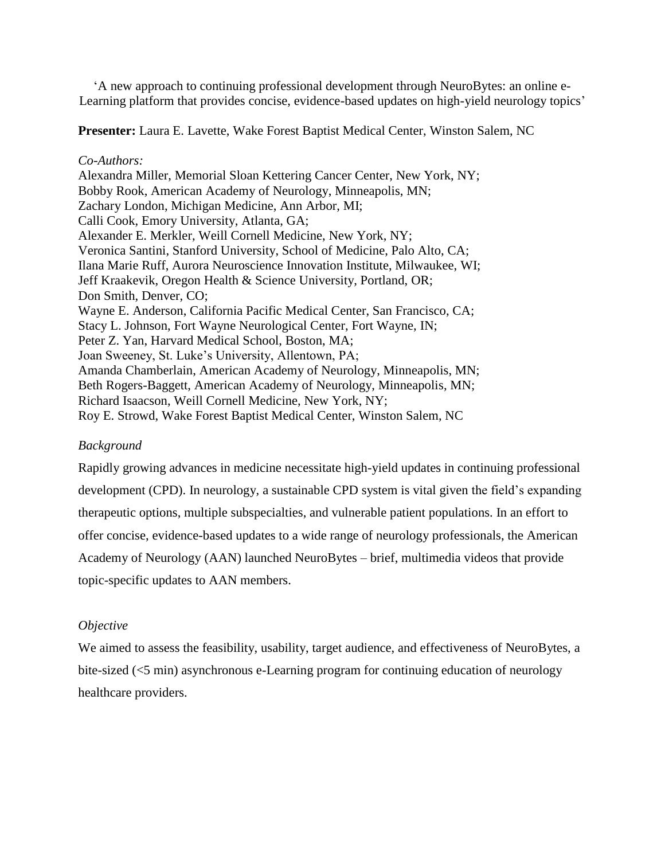'A new approach to continuing professional development through NeuroBytes: an online e-Learning platform that provides concise, evidence-based updates on high-yield neurology topics'

**Presenter:** Laura E. Lavette, Wake Forest Baptist Medical Center, Winston Salem, NC

### *Co-Authors:*

Alexandra Miller, Memorial Sloan Kettering Cancer Center, New York, NY; Bobby Rook, American Academy of Neurology, Minneapolis, MN; Zachary London, Michigan Medicine, Ann Arbor, MI; Calli Cook, Emory University, Atlanta, GA; Alexander E. Merkler, Weill Cornell Medicine, New York, NY; Veronica Santini, Stanford University, School of Medicine, Palo Alto, CA; Ilana Marie Ruff, Aurora Neuroscience Innovation Institute, Milwaukee, WI; Jeff Kraakevik, Oregon Health & Science University, Portland, OR; Don Smith, Denver, CO; Wayne E. Anderson, California Pacific Medical Center, San Francisco, CA; Stacy L. Johnson, Fort Wayne Neurological Center, Fort Wayne, IN; Peter Z. Yan, Harvard Medical School, Boston, MA; Joan Sweeney, St. Luke's University, Allentown, PA; Amanda Chamberlain, American Academy of Neurology, Minneapolis, MN; Beth Rogers-Baggett, American Academy of Neurology, Minneapolis, MN; Richard Isaacson, Weill Cornell Medicine, New York, NY; Roy E. Strowd, Wake Forest Baptist Medical Center, Winston Salem, NC

# *Background*

Rapidly growing advances in medicine necessitate high-yield updates in continuing professional development (CPD). In neurology, a sustainable CPD system is vital given the field's expanding therapeutic options, multiple subspecialties, and vulnerable patient populations. In an effort to offer concise, evidence-based updates to a wide range of neurology professionals, the American Academy of Neurology (AAN) launched NeuroBytes – brief, multimedia videos that provide topic-specific updates to AAN members.

# *Objective*

We aimed to assess the feasibility, usability, target audience, and effectiveness of NeuroBytes, a bite-sized (<5 min) asynchronous e-Learning program for continuing education of neurology healthcare providers.